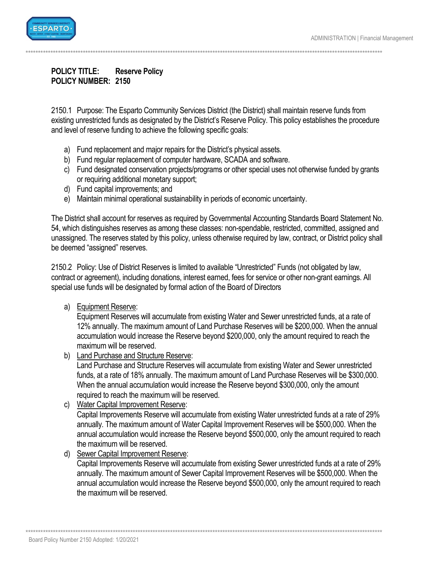

## **POLICY TITLE: Reserve Policy** POLICY NUMBER: 2150

2150.1 Purpose: The Esparto Community Services District (the District) shall maintain reserve funds from existing unrestricted funds as designated by the District's Reserve Policy. This policy establishes the procedure and level of reserve funding to achieve the following specific goals:

- a) Fund replacement and major repairs for the District's physical assets.
- b) Fund regular replacement of computer hardware, SCADA and software.
- c) Fund designated conservation projects/programs or other special uses not otherwise funded by grants or requiring additional monetary support;
- d) Fund capital improvements; and
- e) Maintain minimal operational sustainability in periods of economic uncertainty.

The District shall account for reserves as required by Governmental Accounting Standards Board Statement No. 54, which distinguishes reserves as among these classes: non-spendable, restricted, committed, assigned and unassigned. The reserves stated by this policy, unless otherwise required by law, contract, or District policy shall be deemed "assigned" reserves.

2150.2 Policy: Use of District Reserves is limited to available "Unrestricted" Funds (not obligated by law, contract or agreement), including donations, interest earned, fees for service or other non-grant earnings. All special use funds will be designated by formal action of the Board of Directors

a) Equipment Reserve:

Equipment Reserves will accumulate from existing Water and Sewer unrestricted funds, at a rate of 12% annually. The maximum amount of Land Purchase Reserves will be \$200,000. When the annual accumulation would increase the Reserve beyond \$200,000, only the amount required to reach the maximum will be reserved.

b) Land Purchase and Structure Reserve:

Land Purchase and Structure Reserves will accumulate from existing Water and Sewer unrestricted funds, at a rate of 18% annually. The maximum amount of Land Purchase Reserves will be \$300,000. When the annual accumulation would increase the Reserve beyond \$300,000, only the amount required to reach the maximum will be reserved.

c) Water Capital Improvement Reserve:

Capital Improvements Reserve will accumulate from existing Water unrestricted funds at a rate of 29% annually. The maximum amount of Water Capital Improvement Reserves will be \$500,000. When the annual accumulation would increase the Reserve beyond \$500,000, only the amount required to reach the maximum will be reserved.

d) Sewer Capital Improvement Reserve:

Capital Improvements Reserve will accumulate from existing Sewer unrestricted funds at a rate of 29% annually. The maximum amount of Sewer Capital Improvement Reserves will be \$500,000. When the annual accumulation would increase the Reserve beyond \$500,000, only the amount required to reach the maximum will be reserved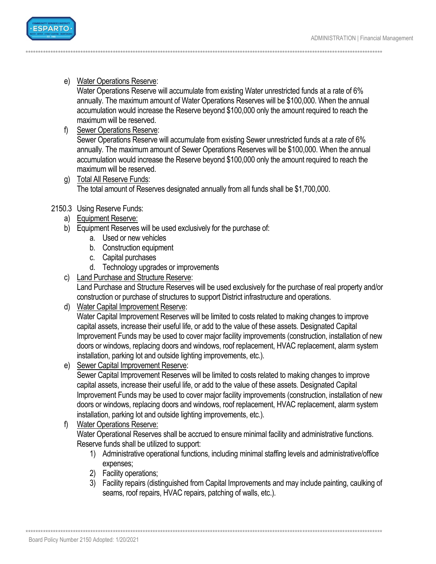

e) Water Operations Reserve:

Water Operations Reserve will accumulate from existing Water unrestricted funds at a rate of 6% annually. The maximum amount of Water Operations Reserves will be \$100,000. When the annual accumulation would increase the Reserve beyond \$100,000 only the amount required to reach the maximum will be reserved.

f) Sewer Operations Reserve:

Sewer Operations Reserve will accumulate from existing Sewer unrestricted funds at a rate of 6% annually. The maximum amount of Sewer Operations Reserves will be \$100,000. When the annual accumulation would increase the Reserve beyond \$100,000 only the amount required to reach the maximum will be reserved.

g) Total All Reserve Funds: The total amount of Reserves designated annually from all funds shall be \$1,700,000.

## 2150.3 Using Reserve Funds:

- a) Equipment Reserve:
- b) Equipment Reserves will be used exclusively for the purchase of:
	- a. Used or new vehicles
	- b. Construction equipment
	- c. Capital purchases
	- d. Technology upgrades or improvements
- c) Land Purchase and Structure Reserve:

Land Purchase and Structure Reserves will be used exclusively for the purchase of real property and/or construction or purchase of structures to support District infrastructure and operations.

d) Water Capital Improvement Reserve:

Water Capital Improvement Reserves will be limited to costs related to making changes to improve capital assets, increase their useful life, or add to the value of these assets. Designated Capital Improvement Funds may be used to cover major facility improvements (construction, installation of new doors or windows, replacing doors and windows, roof replacement, HVAC replacement, alarm system installation, parking lot and outside lighting improvements, etc.).

e) Sewer Capital Improvement Reserve:

Sewer Capital Improvement Reserves will be limited to costs related to making changes to improve capital assets, increase their useful life, or add to the value of these assets. Designated Capital Improvement Funds may be used to cover major facility improvements (construction, installation of new doors or windows, replacing doors and windows, roof replacement, HVAC replacement, alarm system installation, parking lot and outside lighting improvements, etc.).

f) Water Operations Reserve:

Water Operational Reserves shall be accrued to ensure minimal facility and administrative functions. Reserve funds shall be utilized to support:

- 1) Administrative operational functions, including minimal staffing levels and administrative/office expenses;
- 2) Facility operations;
- 3) Facility repairs (distinguished from Capital Improvements and may include painting, caulking of seams, roof repairs, HVAC repairs, patching of walls, etc.).

Board Policy Number 2150 Adopted: 1/20/2021